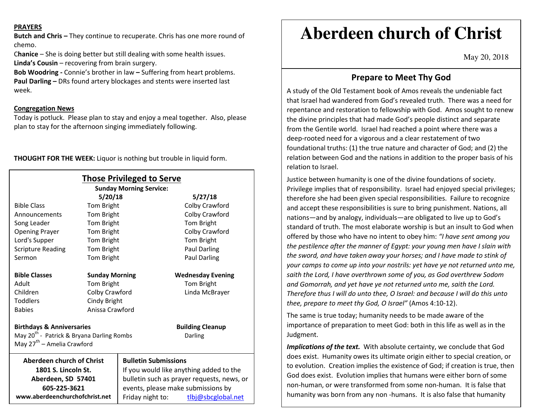#### **PRAYERS**

**Butch and Chris –** They continue to recuperate. Chris has one more round of chemo.

C**hanice** – She is doing better but still dealing with some health issues. **Linda's Cousin** – recovering from brain surgery.

**Bob Woodring -** Connie's brother in law **–** Suffering from heart problems.**Paul Darling –** DRs found artery blockages and stents were inserted last week.

### **Congregation News**

**www.aberdeenchurchofchrist.net**

 Today is potluck. Please plan to stay and enjoy a meal together. Also, please plan to stay for the afternoon singing immediately following.

**THOUGHT FOR THE WEEK:** Liquor is nothing but trouble in liquid form.

| <b>Those Privileged to Serve</b><br><b>Sunday Morning Service:</b>                                         |                       |                                            |                          |
|------------------------------------------------------------------------------------------------------------|-----------------------|--------------------------------------------|--------------------------|
|                                                                                                            | 5/20/18               |                                            | 5/27/18                  |
| <b>Bible Class</b>                                                                                         | Tom Bright            |                                            | Colby Crawford           |
| Announcements                                                                                              | Tom Bright            |                                            | Colby Crawford           |
| Song Leader                                                                                                | Tom Bright            |                                            | Tom Bright               |
| <b>Opening Prayer</b>                                                                                      | Tom Bright            |                                            | Colby Crawford           |
| Lord's Supper                                                                                              | Tom Bright            |                                            | Tom Bright               |
| <b>Scripture Reading</b>                                                                                   | Tom Bright            |                                            | <b>Paul Darling</b>      |
| Sermon                                                                                                     | Tom Bright            |                                            | Paul Darling             |
| <b>Bible Classes</b>                                                                                       | <b>Sunday Morning</b> |                                            | <b>Wednesday Evening</b> |
| Adult                                                                                                      | Tom Bright            |                                            | Tom Bright               |
| Children                                                                                                   | Colby Crawford        |                                            | Linda McBrayer           |
| <b>Toddlers</b>                                                                                            | Cindy Bright          |                                            |                          |
| <b>Babies</b>                                                                                              | Anissa Crawford       |                                            |                          |
| <b>Birthdays &amp; Anniversaries</b>                                                                       |                       |                                            | <b>Building Cleanup</b>  |
| May 20 <sup>th</sup> - Patrick & Bryana Darling Rombs<br>Darling<br>May 27 <sup>th</sup> – Amelia Crawford |                       |                                            |                          |
| Aberdeen church of Christ                                                                                  |                       | <b>Bulletin Submissions</b>                |                          |
| 1801 S. Lincoln St.                                                                                        |                       | If you would like anything added to the    |                          |
| Aberdeen, SD 57401                                                                                         |                       | bulletin such as prayer requests, news, or |                          |
| 605-225-3621                                                                                               |                       | events, please make submissions by         |                          |

Friday night to: tlbj@sbcglobal.net

# **Aberdeen church of Christ**

May 20, 2018

# **Prepare to Meet Thy God**

A study of the Old Testament book of Amos reveals the undeniable fact that Israel had wandered from God's revealed truth. There was a need for repentance and restoration to fellowship with God. Amos sought to renew the divine principles that had made God's people distinct and separate from the Gentile world. Israel had reached a point where there was a deep-rooted need for a vigorous and a clear restatement of two foundational truths: (1) the true nature and character of God; and (2) the relation between God and the nations in addition to the proper basis of his relation to Israel.

Justice between humanity is one of the divine foundations of society. Privilege implies that of responsibility. Israel had enjoyed special privileges; therefore she had been given special responsibilities. Failure to recognize and accept these responsibilities is sure to bring punishment. Nations, all nations—and by analogy, individuals—are obligated to live up to God's standard of truth. The most elaborate worship is but an insult to God when offered by those who have no intent to obey him: *"I have sent among you the pestilence after the manner of Egypt: your young men have I slain with the sword, and have taken away your horses; and I have made to stink of your camps to come up into your nostrils: yet have ye not returned unto me, saith the Lord, I have overthrown some of you, as God overthrew Sodom and Gomorrah, and yet have ye not returned unto me, saith the Lord. Therefore thus I will do unto thee, O Israel: and because I will do this unto thee, prepare to meet thy God, O Israel"* (Amos 4:10-12).

The same is true today; humanity needs to be made aware of the importance of preparation to meet God: both in this life as well as in the Judgment.

*Implications of the text.* With absolute certainty, we conclude that God does exist. Humanity owes its ultimate origin either to special creation, or to evolution. Creation implies the existence of God; if creation is true, then God does exist. Evolution implies that humans were either born of some non-human, or were transformed from some non-human. It is false that humanity was born from any non -humans. It is also false that humanity